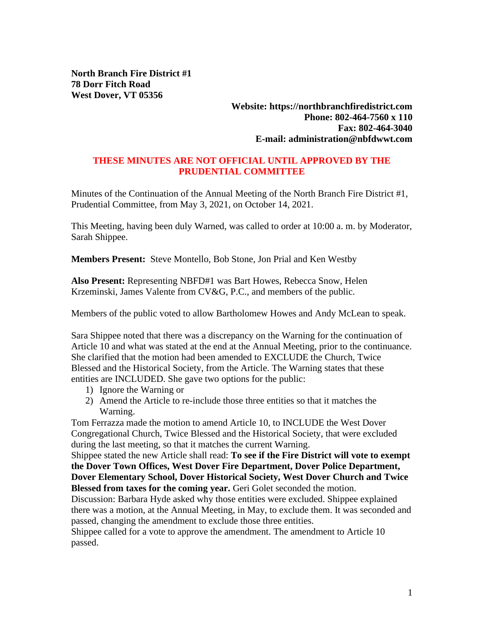**North Branch Fire District #1 78 Dorr Fitch Road West Dover, VT 05356**

> **Website: https://northbranchfiredistrict.com Phone: 802-464-7560 x 110 Fax: 802-464-3040 E-mail: administration@nbfdwwt.com**

## **THESE MINUTES ARE NOT OFFICIAL UNTIL APPROVED BY THE PRUDENTIAL COMMITTEE**

Minutes of the Continuation of the Annual Meeting of the North Branch Fire District #1, Prudential Committee, from May 3, 2021, on October 14, 2021.

This Meeting, having been duly Warned, was called to order at 10:00 a. m. by Moderator, Sarah Shippee.

**Members Present:** Steve Montello, Bob Stone, Jon Prial and Ken Westby

**Also Present:** Representing NBFD#1 was Bart Howes, Rebecca Snow, Helen Krzeminski, James Valente from CV&G, P.C., and members of the public.

Members of the public voted to allow Bartholomew Howes and Andy McLean to speak.

Sara Shippee noted that there was a discrepancy on the Warning for the continuation of Article 10 and what was stated at the end at the Annual Meeting, prior to the continuance. She clarified that the motion had been amended to EXCLUDE the Church, Twice Blessed and the Historical Society, from the Article. The Warning states that these entities are INCLUDED. She gave two options for the public:

- 1) Ignore the Warning or
- 2) Amend the Article to re-include those three entities so that it matches the Warning.

Tom Ferrazza made the motion to amend Article 10, to INCLUDE the West Dover Congregational Church, Twice Blessed and the Historical Society, that were excluded during the last meeting, so that it matches the current Warning.

Shippee stated the new Article shall read: **To see if the Fire District will vote to exempt the Dover Town Offices, West Dover Fire Department, Dover Police Department, Dover Elementary School, Dover Historical Society, West Dover Church and Twice Blessed from taxes for the coming year.** Geri Golet seconded the motion.

Discussion: Barbara Hyde asked why those entities were excluded. Shippee explained there was a motion, at the Annual Meeting, in May, to exclude them. It was seconded and passed, changing the amendment to exclude those three entities.

Shippee called for a vote to approve the amendment. The amendment to Article 10 passed.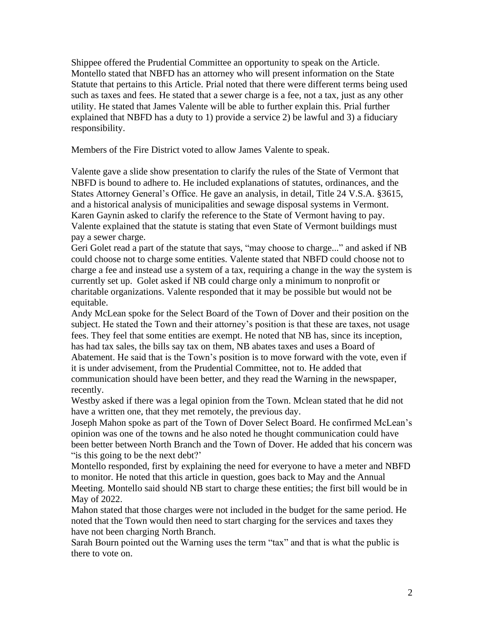Shippee offered the Prudential Committee an opportunity to speak on the Article. Montello stated that NBFD has an attorney who will present information on the State Statute that pertains to this Article. Prial noted that there were different terms being used such as taxes and fees. He stated that a sewer charge is a fee, not a tax, just as any other utility. He stated that James Valente will be able to further explain this. Prial further explained that NBFD has a duty to 1) provide a service 2) be lawful and 3) a fiduciary responsibility.

Members of the Fire District voted to allow James Valente to speak.

Valente gave a slide show presentation to clarify the rules of the State of Vermont that NBFD is bound to adhere to. He included explanations of statutes, ordinances, and the States Attorney General's Office. He gave an analysis, in detail, Title 24 V.S.A. §3615, and a historical analysis of municipalities and sewage disposal systems in Vermont. Karen Gaynin asked to clarify the reference to the State of Vermont having to pay. Valente explained that the statute is stating that even State of Vermont buildings must pay a sewer charge.

Geri Golet read a part of the statute that says, "may choose to charge..." and asked if NB could choose not to charge some entities. Valente stated that NBFD could choose not to charge a fee and instead use a system of a tax, requiring a change in the way the system is currently set up. Golet asked if NB could charge only a minimum to nonprofit or charitable organizations. Valente responded that it may be possible but would not be equitable.

Andy McLean spoke for the Select Board of the Town of Dover and their position on the subject. He stated the Town and their attorney's position is that these are taxes, not usage fees. They feel that some entities are exempt. He noted that NB has, since its inception, has had tax sales, the bills say tax on them, NB abates taxes and uses a Board of Abatement. He said that is the Town's position is to move forward with the vote, even if it is under advisement, from the Prudential Committee, not to. He added that communication should have been better, and they read the Warning in the newspaper, recently.

Westby asked if there was a legal opinion from the Town. Mclean stated that he did not have a written one, that they met remotely, the previous day.

Joseph Mahon spoke as part of the Town of Dover Select Board. He confirmed McLean's opinion was one of the towns and he also noted he thought communication could have been better between North Branch and the Town of Dover. He added that his concern was "is this going to be the next debt?'

Montello responded, first by explaining the need for everyone to have a meter and NBFD to monitor. He noted that this article in question, goes back to May and the Annual Meeting. Montello said should NB start to charge these entities; the first bill would be in May of 2022.

Mahon stated that those charges were not included in the budget for the same period. He noted that the Town would then need to start charging for the services and taxes they have not been charging North Branch.

Sarah Bourn pointed out the Warning uses the term "tax" and that is what the public is there to vote on.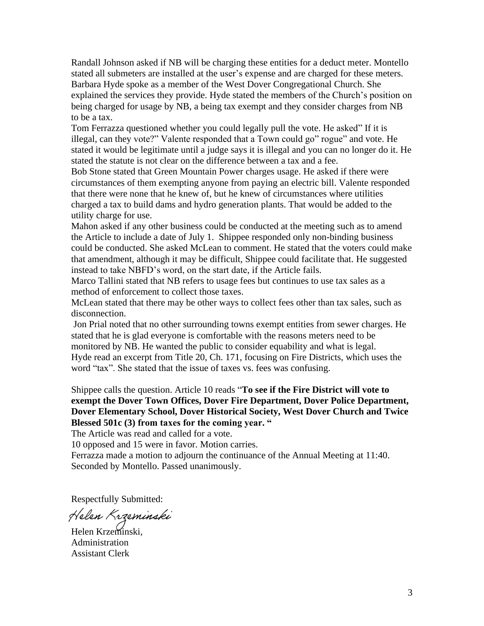Randall Johnson asked if NB will be charging these entities for a deduct meter. Montello stated all submeters are installed at the user's expense and are charged for these meters. Barbara Hyde spoke as a member of the West Dover Congregational Church. She explained the services they provide. Hyde stated the members of the Church's position on being charged for usage by NB, a being tax exempt and they consider charges from NB to be a tax.

Tom Ferrazza questioned whether you could legally pull the vote. He asked" If it is illegal, can they vote?" Valente responded that a Town could go" rogue" and vote. He stated it would be legitimate until a judge says it is illegal and you can no longer do it. He stated the statute is not clear on the difference between a tax and a fee.

Bob Stone stated that Green Mountain Power charges usage. He asked if there were circumstances of them exempting anyone from paying an electric bill. Valente responded that there were none that he knew of, but he knew of circumstances where utilities charged a tax to build dams and hydro generation plants. That would be added to the utility charge for use.

Mahon asked if any other business could be conducted at the meeting such as to amend the Article to include a date of July 1. Shippee responded only non-binding business could be conducted. She asked McLean to comment. He stated that the voters could make that amendment, although it may be difficult, Shippee could facilitate that. He suggested instead to take NBFD's word, on the start date, if the Article fails.

Marco Tallini stated that NB refers to usage fees but continues to use tax sales as a method of enforcement to collect those taxes.

McLean stated that there may be other ways to collect fees other than tax sales, such as disconnection.

Jon Prial noted that no other surrounding towns exempt entities from sewer charges. He stated that he is glad everyone is comfortable with the reasons meters need to be monitored by NB. He wanted the public to consider equability and what is legal. Hyde read an excerpt from Title 20, Ch. 171, focusing on Fire Districts, which uses the word "tax". She stated that the issue of taxes vs. fees was confusing.

Shippee calls the question. Article 10 reads "**To see if the Fire District will vote to exempt the Dover Town Offices, Dover Fire Department, Dover Police Department, Dover Elementary School, Dover Historical Society, West Dover Church and Twice Blessed 501c (3) from taxes for the coming year. "**

The Article was read and called for a vote.

10 opposed and 15 were in favor. Motion carries.

Ferrazza made a motion to adjourn the continuance of the Annual Meeting at 11:40. Seconded by Montello. Passed unanimously.

Respectfully Submitted:

Helen Krzeminski

Helen Krzeminski, Administration Assistant Clerk